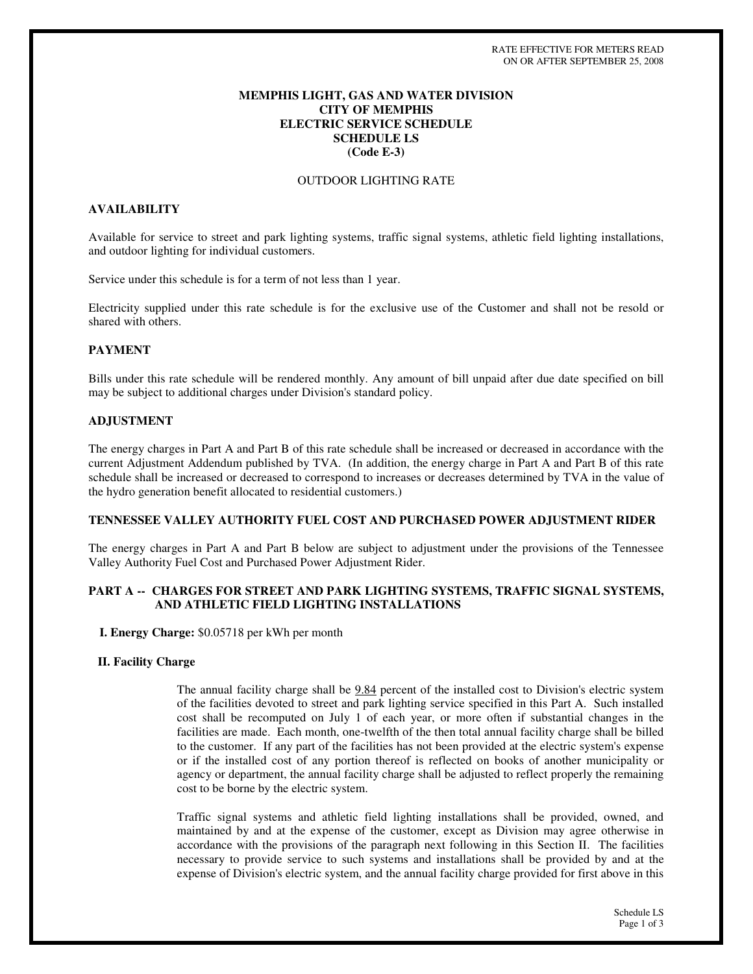## **MEMPHIS LIGHT, GAS AND WATER DIVISION CITY OF MEMPHIS ELECTRIC SERVICE SCHEDULE SCHEDULE LS (Code E-3)**

### OUTDOOR LIGHTING RATE

# **AVAILABILITY**

Available for service to street and park lighting systems, traffic signal systems, athletic field lighting installations, and outdoor lighting for individual customers.

Service under this schedule is for a term of not less than 1 year.

Electricity supplied under this rate schedule is for the exclusive use of the Customer and shall not be resold or shared with others.

### **PAYMENT**

Bills under this rate schedule will be rendered monthly. Any amount of bill unpaid after due date specified on bill may be subject to additional charges under Division's standard policy.

#### **ADJUSTMENT**

The energy charges in Part A and Part B of this rate schedule shall be increased or decreased in accordance with the current Adjustment Addendum published by TVA. (In addition, the energy charge in Part A and Part B of this rate schedule shall be increased or decreased to correspond to increases or decreases determined by TVA in the value of the hydro generation benefit allocated to residential customers.)

#### **TENNESSEE VALLEY AUTHORITY FUEL COST AND PURCHASED POWER ADJUSTMENT RIDER**

The energy charges in Part A and Part B below are subject to adjustment under the provisions of the Tennessee Valley Authority Fuel Cost and Purchased Power Adjustment Rider.

### **PART A -- CHARGES FOR STREET AND PARK LIGHTING SYSTEMS, TRAFFIC SIGNAL SYSTEMS, AND ATHLETIC FIELD LIGHTING INSTALLATIONS**

**I. Energy Charge:** \$0.05718 per kWh per month

#### **II. Facility Charge**

The annual facility charge shall be 9.84 percent of the installed cost to Division's electric system of the facilities devoted to street and park lighting service specified in this Part A. Such installed cost shall be recomputed on July 1 of each year, or more often if substantial changes in the facilities are made. Each month, one-twelfth of the then total annual facility charge shall be billed to the customer. If any part of the facilities has not been provided at the electric system's expense or if the installed cost of any portion thereof is reflected on books of another municipality or agency or department, the annual facility charge shall be adjusted to reflect properly the remaining cost to be borne by the electric system.

Traffic signal systems and athletic field lighting installations shall be provided, owned, and maintained by and at the expense of the customer, except as Division may agree otherwise in accordance with the provisions of the paragraph next following in this Section II. The facilities necessary to provide service to such systems and installations shall be provided by and at the expense of Division's electric system, and the annual facility charge provided for first above in this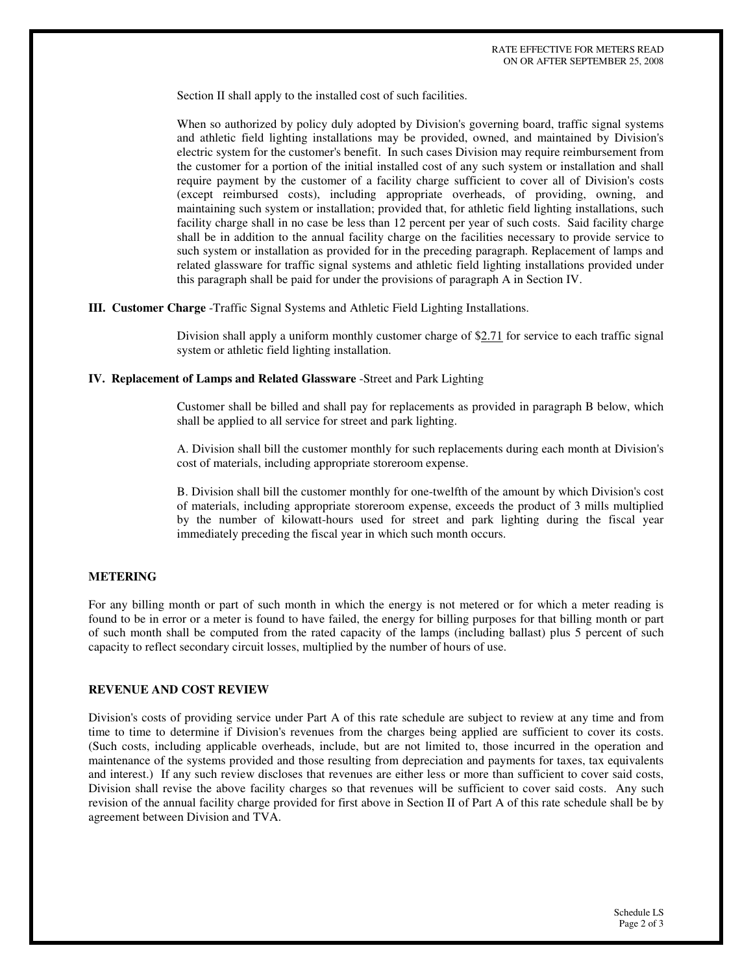Section II shall apply to the installed cost of such facilities.

When so authorized by policy duly adopted by Division's governing board, traffic signal systems and athletic field lighting installations may be provided, owned, and maintained by Division's electric system for the customer's benefit. In such cases Division may require reimbursement from the customer for a portion of the initial installed cost of any such system or installation and shall require payment by the customer of a facility charge sufficient to cover all of Division's costs (except reimbursed costs), including appropriate overheads, of providing, owning, and maintaining such system or installation; provided that, for athletic field lighting installations, such facility charge shall in no case be less than 12 percent per year of such costs. Said facility charge shall be in addition to the annual facility charge on the facilities necessary to provide service to such system or installation as provided for in the preceding paragraph. Replacement of lamps and related glassware for traffic signal systems and athletic field lighting installations provided under this paragraph shall be paid for under the provisions of paragraph A in Section IV.

**III. Customer Charge** -Traffic Signal Systems and Athletic Field Lighting Installations.

Division shall apply a uniform monthly customer charge of \$2.71 for service to each traffic signal system or athletic field lighting installation.

#### **IV. Replacement of Lamps and Related Glassware** -Street and Park Lighting

Customer shall be billed and shall pay for replacements as provided in paragraph B below, which shall be applied to all service for street and park lighting.

A. Division shall bill the customer monthly for such replacements during each month at Division's cost of materials, including appropriate storeroom expense.

B. Division shall bill the customer monthly for one-twelfth of the amount by which Division's cost of materials, including appropriate storeroom expense, exceeds the product of 3 mills multiplied by the number of kilowatt-hours used for street and park lighting during the fiscal year immediately preceding the fiscal year in which such month occurs.

#### **METERING**

For any billing month or part of such month in which the energy is not metered or for which a meter reading is found to be in error or a meter is found to have failed, the energy for billing purposes for that billing month or part of such month shall be computed from the rated capacity of the lamps (including ballast) plus 5 percent of such capacity to reflect secondary circuit losses, multiplied by the number of hours of use.

### **REVENUE AND COST REVIEW**

Division's costs of providing service under Part A of this rate schedule are subject to review at any time and from time to time to determine if Division's revenues from the charges being applied are sufficient to cover its costs. (Such costs, including applicable overheads, include, but are not limited to, those incurred in the operation and maintenance of the systems provided and those resulting from depreciation and payments for taxes, tax equivalents and interest.) If any such review discloses that revenues are either less or more than sufficient to cover said costs, Division shall revise the above facility charges so that revenues will be sufficient to cover said costs. Any such revision of the annual facility charge provided for first above in Section II of Part A of this rate schedule shall be by agreement between Division and TVA.